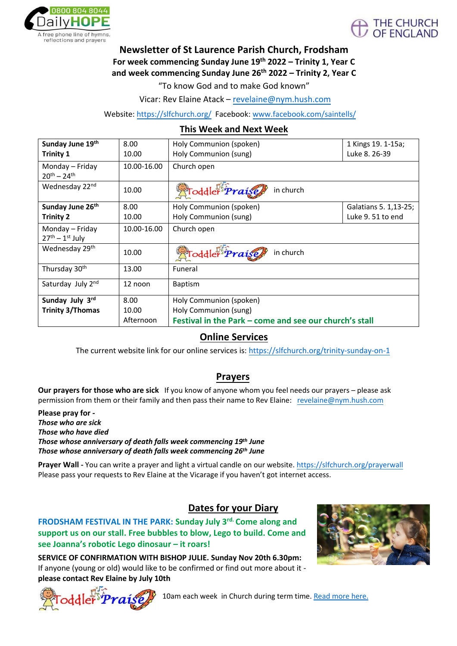



### **Newsletter of St Laurence Parish Church, Frodsham For week commencing Sunday June 19th 2022 – Trinity 1, Year C and week commencing Sunday June 26th 2022 – Trinity 2, Year C**

"To know God and to make God known"

Vicar: Rev Elaine Atack – revelai[ne@nym.hush.com](mailto:revelaine@nym.hush.com)

Website: <https://slfchurch.org/> Facebook: [www.facebook.com/saintells/](http://www.facebook.com/saintells/)

#### **This Week and Next Week**

| Sunday June 19th<br><b>Trinity 1</b>   | 8.00<br>10.00 | Holy Communion (spoken)<br>Holy Communion (sung)       | 1 Kings 19. 1-15a;<br>Luke 8. 26-39 |
|----------------------------------------|---------------|--------------------------------------------------------|-------------------------------------|
| Monday – Friday<br>$20^{th} - 24^{th}$ | 10.00-16.00   | Church open                                            |                                     |
| Wednesday 22 <sup>nd</sup>             | 10.00         | Toddler <i>Praise</i><br>in church                     |                                     |
| Sunday June 26th                       | 8.00          | Holy Communion (spoken)                                | Galatians 5. 1, 13-25;              |
| Trinity 2                              | 10.00         | Holy Communion (sung)                                  | Luke 9.51 to end                    |
| Monday - Friday                        | 10.00-16.00   | Church open                                            |                                     |
| $27th - 1st$ July                      |               |                                                        |                                     |
| Wednesday 29 <sup>th</sup>             | 10.00         | <b>Toddler</b> Praise<br>in church                     |                                     |
| Thursday 30 <sup>th</sup>              | 13.00         | Funeral                                                |                                     |
| Saturday July 2nd                      | 12 noon       | Baptism                                                |                                     |
| Sunday July 3rd                        | 8.00          | Holy Communion (spoken)                                |                                     |
| <b>Trinity 3/Thomas</b>                | 10.00         | Holy Communion (sung)                                  |                                     |
|                                        | Afternoon     | Festival in the Park - come and see our church's stall |                                     |

### **Online Services**

The current website link for our online services is:<https://slfchurch.org/trinity-sunday-on-1>

### **Prayers**

**Our prayers for those who are sick** If you know of anyone whom you feel needs [our prayers](mailto:revelaine@nym.hush.com) – please ask permission from them or their family and then pass their name to Rev Elaine: revelaine@nym.hush.com

**Please pray for -**  *Those who are sick Those who have died Those whose anniversary of death falls week commencing 19th June Those whose anniversary of death falls week commencing 26th June*

**Prayer Wall -** You can write a prayer and light a virtual candle on our website. https://slfchurch.org/prayerwall Please pass your requests to Rev Elaine at the Vicarage if you haven't got inte[rnet access.](https://slfchurch.org/prayerwall)

### **Dates for your Diary**

**FRODSHAM FESTIVAL IN THE PARK: Sunday July 3rd. Come along and support us on our stall. Free bubbles to blow, Lego to build. Come and see Joanna's robotic Lego dinosaur – it roars!**

**SERVICE OF CONFIRMATION WITH BISHOP JULIE. Sunday Nov 20th 6.30pm:** If anyone (young or old) would like to be confirmed or find out more about it **please contact Rev Elaine by July 10th**





10am each week in Church during term time[. Read more here.](https://slfchurch.org/children)